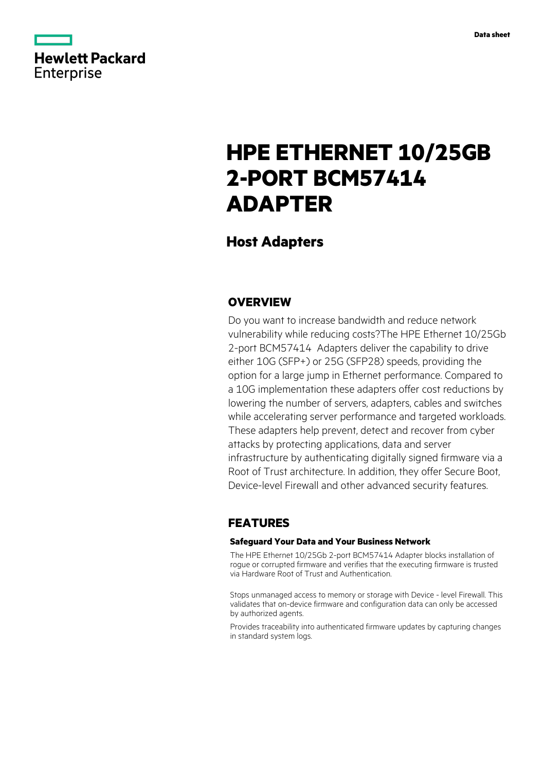

# **HPE ETHERNET 10/25GB 2-PORT BCM57414 ADAPTER**

# **Host Adapters**

# **OVERVIEW**

Do you want to increase bandwidth and reduce network vulnerability while reducing costs?The HPE Ethernet 10/25Gb 2-port BCM57414 Adapters deliver the capability to drive either 10G (SFP+) or 25G (SFP28) speeds, providing the option for a large jump in Ethernet performance. Compared to a 10G implementation these adapters offer cost reductions by lowering the number of servers, adapters, cables and switches while accelerating server performance and targeted workloads. These adapters help prevent, detect and recover from cyber attacks by protecting applications, data and server infrastructure by authenticating digitally signed firmware via a Root of Trust architecture. In addition, they offer Secure Boot, Device-level Firewall and other advanced security features.

## **FEATURES**

### **Safeguard Your Data and Your Business Network**

The HPE Ethernet 10/25Gb 2-port BCM57414 Adapter blocks installation of rogue or corrupted firmware and verifies that the executing firmware is trusted via Hardware Root of Trust and Authentication.

Stops unmanaged access to memory or storage with Device - level Firewall. This validates that on-device firmware and configuration data can only be accessed by authorized agents.

Provides traceability into authenticated firmware updates by capturing changes in standard system logs.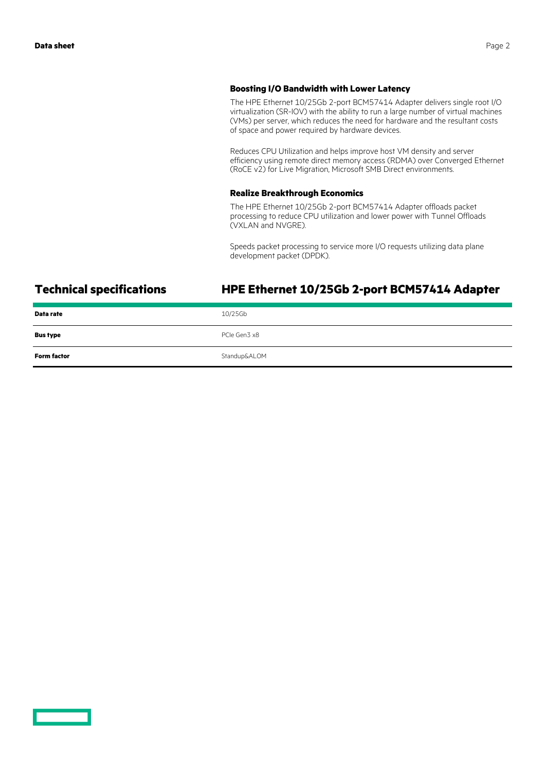### **Boosting I/O Bandwidth with Lower Latency**

The HPE Ethernet 10/25Gb 2-port BCM57414 Adapter delivers single root I/O virtualization (SR-IOV) with the ability to run a large number of virtual machines (VMs) per server, which reduces the need for hardware and the resultant costs of space and power required by hardware devices.

Reduces CPU Utilization and helps improve host VM density and server efficiency using remote direct memory access (RDMA) over Converged Ethernet (RoCE v2) for Live Migration, Microsoft SMB Direct environments.

### **Realize Breakthrough Economics**

The HPE Ethernet 10/25Gb 2-port BCM57414 Adapter offloads packet processing to reduce CPU utilization and lower power with Tunnel Offloads (VXLAN and NVGRE).

Speeds packet processing to service more I/O requests utilizing data plane development packet (DPDK).

## **Technical specifications HPE Ethernet 10/25Gb 2-port BCM57414 Adapter**

| Data rate          | 10/25Gb      |
|--------------------|--------------|
| <b>Bus type</b>    | PCIe Gen3 x8 |
| <b>Form factor</b> | Standup&ALOM |